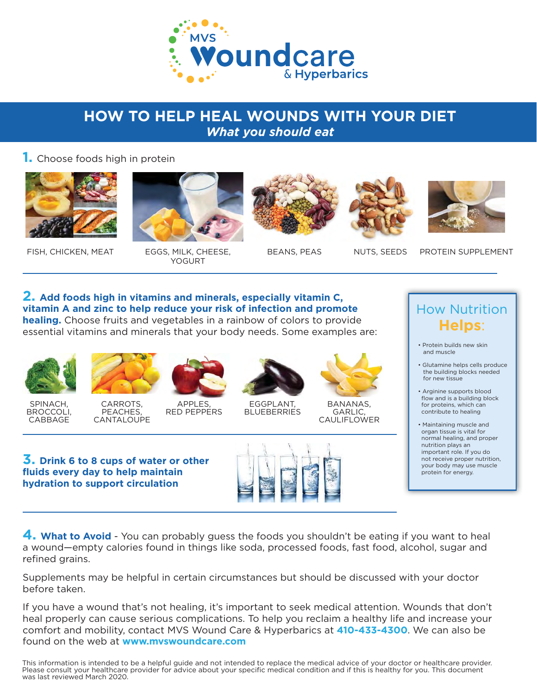

### **HOW TO HELP HEAL WOUNDS WITH YOUR DIET**  *What you should eat*

### **1.** Choose foods high in protein



FISH, CHICKEN, MEAT EGGS, MILK, CHEESE,



# YOGURT

BEANS, PEAS NUTS, SEEDS PROTEIN SUPPLEMENT

How Nutrition

#### **2. Add foods high in vitamins and minerals, especially vitamin C, vitamin A and zinc to help reduce your risk of infection and promote healing.** Choose fruits and vegetables in a rainbow of colors to provide essential vitamins and minerals that your body needs. Some examples are:

SPINACH, BROCCOLI, CABBAGE



CARROTS, PEACHES, **CANTALOUPE** 



APPLES, RED PEPPERS



EGGPLANT, **BLUEBERRIES** 



BANANAS, GARLIC, **CAULIFLOWER** 



- the building blocks needed for new tissue
- Arginine supports blood flow and is a building block for proteins, which can contribute to healing
- Maintaining muscle and organ tissue is vital for normal healing, and proper nutrition plays an important role. If you do not receive proper nutrition, your body may use muscle protein for energy.

**3. Drink 6 to 8 cups of water or other fluids every day to help maintain hydration to support circulation**



**4. What to Avoid** - You can probably guess the foods you shouldn't be eating if you want to heal a wound—empty calories found in things like soda, processed foods, fast food, alcohol, sugar and refined grains.

Supplements may be helpful in certain circumstances but should be discussed with your doctor before taken.

If you have a wound that's not healing, it's important to seek medical attention. Wounds that don't heal properly can cause serious complications. To help you reclaim a healthy life and increase your comfort and mobility, contact MVS Wound Care & Hyperbarics at **410-433-4300**. We can also be found on the web at **www.mvswoundcare.com** 

This information is intended to be a helpful guide and not intended to replace the medical advice of your doctor or healthcare provider. Please consult your healthcare provider for advice about your specific medical condition and if this is healthy for you. This document was last reviewed March 2020.